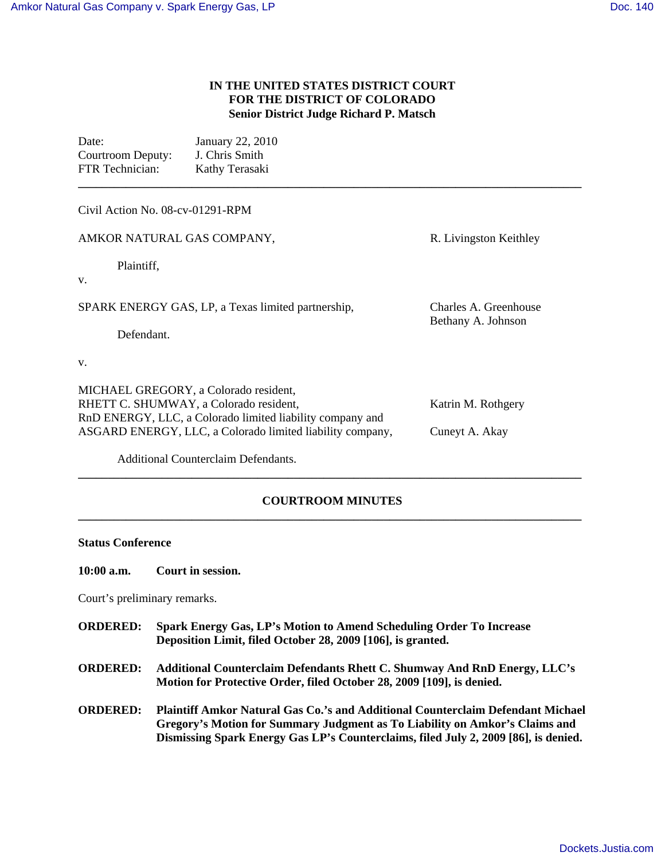## **IN THE UNITED STATES DISTRICT COURT FOR THE DISTRICT OF COLORADO Senior District Judge Richard P. Matsch**

**\_\_\_\_\_\_\_\_\_\_\_\_\_\_\_\_\_\_\_\_\_\_\_\_\_\_\_\_\_\_\_\_\_\_\_\_\_\_\_\_\_\_\_\_\_\_\_\_\_\_\_\_\_\_\_\_\_\_\_\_\_\_\_\_\_\_\_\_\_\_\_\_\_\_\_\_\_\_\_\_\_\_\_\_**

| Date:             | January 22, 2010 |
|-------------------|------------------|
| Courtroom Deputy: | J. Chris Smith   |
| FTR Technician:   | Kathy Terasaki   |

| Civil Action No. 08-cv-01291-RPM                                                                                                             |                                             |
|----------------------------------------------------------------------------------------------------------------------------------------------|---------------------------------------------|
| AMKOR NATURAL GAS COMPANY,                                                                                                                   | R. Livingston Keithley                      |
| Plaintiff.<br>V.                                                                                                                             |                                             |
| SPARK ENERGY GAS, LP, a Texas limited partnership,                                                                                           | Charles A. Greenhouse<br>Bethany A. Johnson |
| Defendant.                                                                                                                                   |                                             |
| V.                                                                                                                                           |                                             |
| MICHAEL GREGORY, a Colorado resident,<br>RHETT C. SHUMWAY, a Colorado resident,<br>RnD ENERGY, LLC, a Colorado limited liability company and | Katrin M. Rothgery                          |
| ASGARD ENERGY, LLC, a Colorado limited liability company,                                                                                    | Cuneyt A. Akay                              |
| Additional Counterclaim Defendants.                                                                                                          |                                             |

# **COURTROOM MINUTES \_\_\_\_\_\_\_\_\_\_\_\_\_\_\_\_\_\_\_\_\_\_\_\_\_\_\_\_\_\_\_\_\_\_\_\_\_\_\_\_\_\_\_\_\_\_\_\_\_\_\_\_\_\_\_\_\_\_\_\_\_\_\_\_\_\_\_\_\_\_\_\_\_\_\_\_\_\_\_\_\_\_\_\_**

**\_\_\_\_\_\_\_\_\_\_\_\_\_\_\_\_\_\_\_\_\_\_\_\_\_\_\_\_\_\_\_\_\_\_\_\_\_\_\_\_\_\_\_\_\_\_\_\_\_\_\_\_\_\_\_\_\_\_\_\_\_\_\_\_\_\_\_\_\_\_\_\_\_\_\_\_\_\_\_\_\_\_\_\_**

### **Status Conference**

**10:00 a.m. Court in session.**

Court's preliminary remarks.

- **ORDERED: Spark Energy Gas, LP's Motion to Amend Scheduling Order To Increase Deposition Limit, filed October 28, 2009 [106], is granted.**
- **ORDERED: Additional Counterclaim Defendants Rhett C. Shumway And RnD Energy, LLC's Motion for Protective Order, filed October 28, 2009 [109], is denied.**
- **ORDERED: Plaintiff Amkor Natural Gas Co.'s and Additional Counterclaim Defendant Michael Gregory's Motion for Summary Judgment as To Liability on Amkor's Claims and Dismissing Spark Energy Gas LP's Counterclaims, filed July 2, 2009 [86], is denied.**